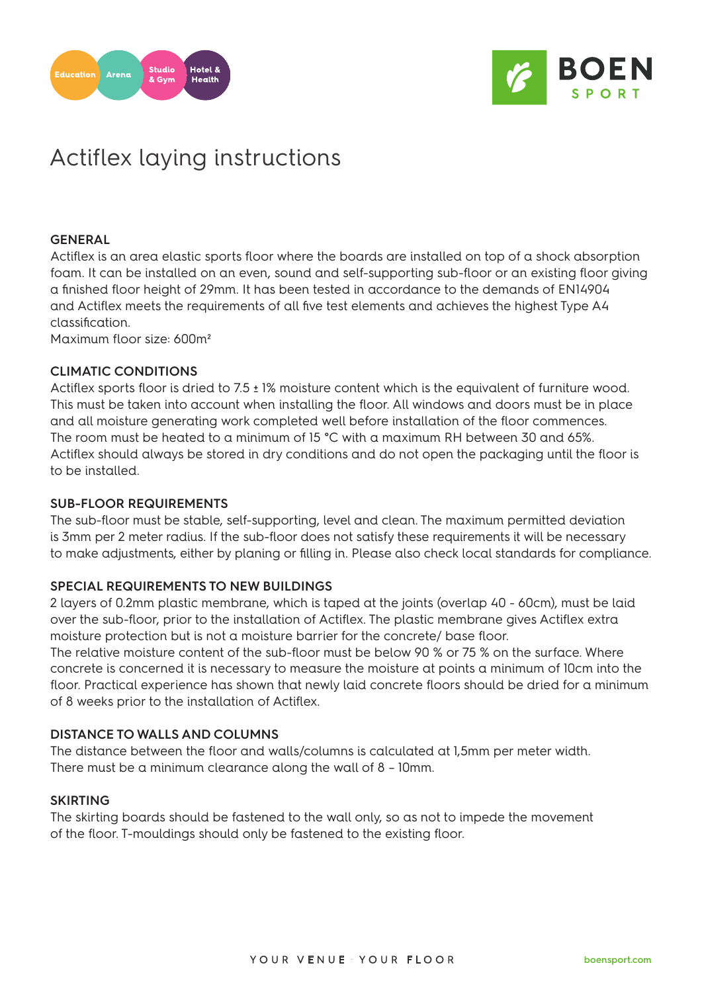



# Actiflex laying instructions

### **GENERAL**

Actiflex is an area elastic sports floor where the boards are installed on top of a shock absorption foam. It can be installed on an even, sound and self-supporting sub-floor or an existing floor giving a finished floor height of 29mm. It has been tested in accordance to the demands of EN14904 and Actiflex meets the requirements of all five test elements and achieves the highest Type A4 classification.

Maximum floor size: 600m²

### **CLIMATIC CONDITIONS**

Actiflex sports floor is dried to 7.5 ± 1% moisture content which is the equivalent of furniture wood. This must be taken into account when installing the floor. All windows and doors must be in place and all moisture generating work completed well before installation of the floor commences. The room must be heated to a minimum of 15 °C with a maximum RH between 30 and 65%. Actiflex should always be stored in dry conditions and do not open the packaging until the floor is to be installed.

#### **SUB-FLOOR REQUIREMENTS**

The sub-floor must be stable, self-supporting, level and clean. The maximum permitted deviation is 3mm per 2 meter radius. If the sub-floor does not satisfy these requirements it will be necessary to make adjustments, either by planing or filling in. Please also check local standards for compliance.

## **SPECIAL REQUIREMENTS TO NEW BUILDINGS**

2 layers of 0.2mm plastic membrane, which is taped at the joints (overlap 40 - 60cm), must be laid over the sub-floor, prior to the installation of Actiflex. The plastic membrane gives Actiflex extra moisture protection but is not a moisture barrier for the concrete/ base floor.

The relative moisture content of the sub-floor must be below 90 % or 75 % on the surface. Where concrete is concerned it is necessary to measure the moisture at points a minimum of 10cm into the floor. Practical experience has shown that newly laid concrete floors should be dried for a minimum of 8 weeks prior to the installation of Actiflex.

## **DISTANCE TO WALLS AND COLUMNS**

The distance between the floor and walls/columns is calculated at 1,5mm per meter width. There must be a minimum clearance along the wall of 8 – 10mm.

#### **SKIRTING**

The skirting boards should be fastened to the wall only, so as not to impede the movement of the floor. T-mouldings should only be fastened to the existing floor.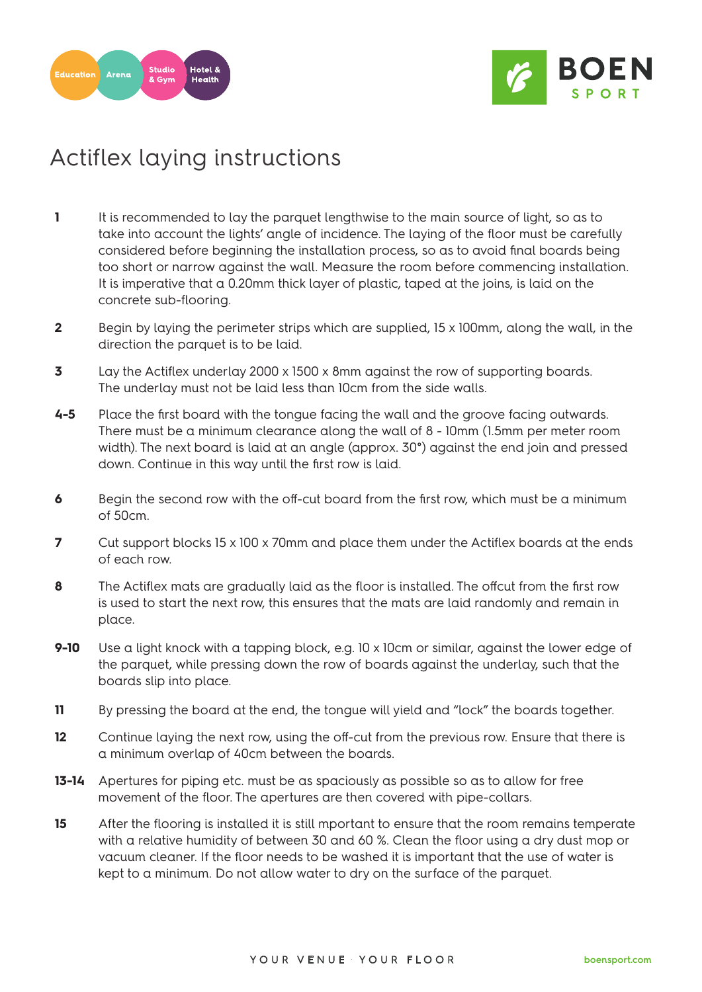



# Actiflex laying instructions

- **1** It is recommended to lay the parquet lengthwise to the main source of light, so as to take into account the lights' angle of incidence. The laying of the floor must be carefully considered before beginning the installation process, so as to avoid final boards being too short or narrow against the wall. Measure the room before commencing installation. It is imperative that a 0.20mm thick layer of plastic, taped at the joins, is laid on the concrete sub-flooring.
- **2** Begin by laying the perimeter strips which are supplied, 15 x 100mm, along the wall, in the direction the parquet is to be laid.
- **3** Lay the Actiflex underlay 2000 x 1500 x 8mm against the row of supporting boards. The underlay must not be laid less than 10cm from the side walls.
- **4-5** Place the first board with the tongue facing the wall and the groove facing outwards. There must be a minimum clearance along the wall of 8 - 10mm (1.5mm per meter room width). The next board is laid at an angle (approx. 30°) against the end join and pressed down. Continue in this way until the first row is laid.
- **6** Begin the second row with the off-cut board from the first row, which must be a minimum of 50cm.
- **7** Cut support blocks 15 x 100 x 70mm and place them under the Actiflex boards at the ends of each row.
- **8** The Actiflex mats are gradually laid as the floor is installed. The offcut from the first row is used to start the next row, this ensures that the mats are laid randomly and remain in place.
- **9-10** Use a light knock with a tapping block, e.g. 10 x 10cm or similar, against the lower edge of the parquet, while pressing down the row of boards against the underlay, such that the boards slip into place.
- **11** By pressing the board at the end, the tongue will yield and "lock" the boards together.
- **12** Continue laying the next row, using the off-cut from the previous row. Ensure that there is a minimum overlap of 40cm between the boards.
- **13-14** Apertures for piping etc. must be as spaciously as possible so as to allow for free movement of the floor. The apertures are then covered with pipe-collars.
- **15** After the flooring is installed it is still mportant to ensure that the room remains temperate with a relative humidity of between 30 and 60 %. Clean the floor using a dry dust mop or vacuum cleaner. If the floor needs to be washed it is important that the use of water is kept to a minimum. Do not allow water to dry on the surface of the parquet.